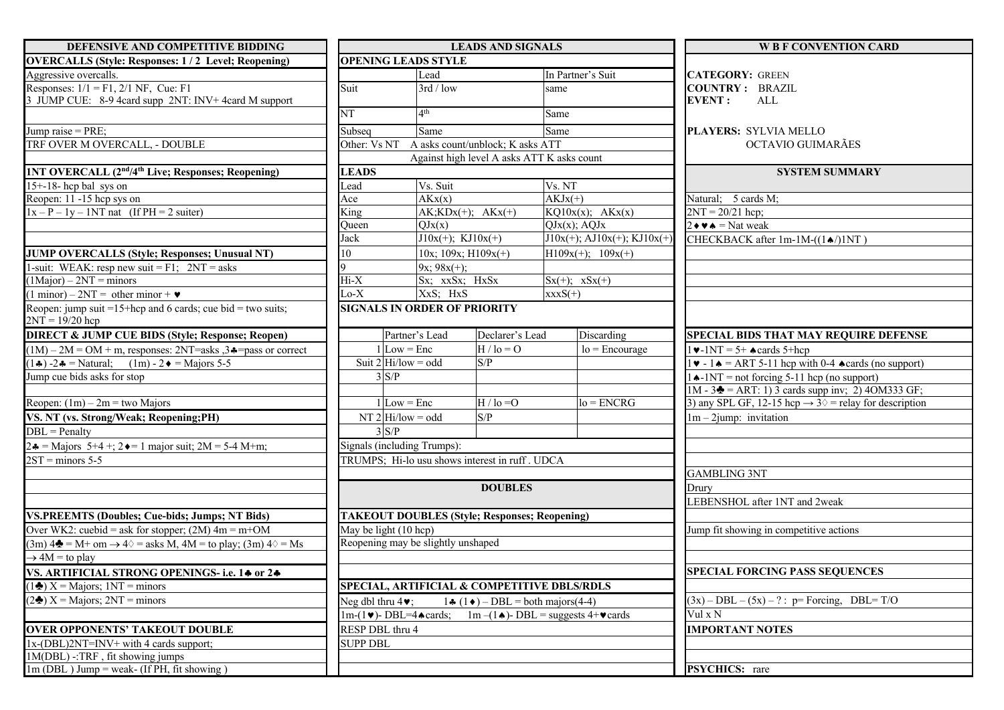| DEFENSIVE AND COMPETITIVE BIDDING                                                                      | <b>LEADS AND SIGNALS</b>                       |                                     |                                  |                                                                                                                                    |                      |                                                | <b>W B F CONVENTION CARD</b>                                                 |  |
|--------------------------------------------------------------------------------------------------------|------------------------------------------------|-------------------------------------|----------------------------------|------------------------------------------------------------------------------------------------------------------------------------|----------------------|------------------------------------------------|------------------------------------------------------------------------------|--|
| <b>OVERCALLS (Style: Responses: 1/2 Level; Reopening)</b>                                              |                                                | <b>OPENING LEADS STYLE</b>          |                                  |                                                                                                                                    |                      |                                                |                                                                              |  |
| Aggressive overcalls.                                                                                  |                                                |                                     | Lead                             |                                                                                                                                    | In Partner's Suit    |                                                | <b>CATEGORY: GREEN</b>                                                       |  |
| Responses: $1/1 = F1$ , $2/1$ NF, Cue: F1<br>3 JUMP CUE: 8-9 4card supp 2NT: INV+ 4card M support      | Suit                                           |                                     | 3rd / low                        |                                                                                                                                    | same                 |                                                | <b>COUNTRY: BRAZIL</b><br><b>EVENT:</b><br>ALL                               |  |
|                                                                                                        | NT                                             |                                     | 4 <sup>th</sup>                  |                                                                                                                                    | Same                 |                                                |                                                                              |  |
| Jump raise = PRE;                                                                                      | Subseq                                         |                                     | Same                             |                                                                                                                                    | Same                 |                                                | <b>PLAYERS: SYLVIA MELLO</b>                                                 |  |
| TRF OVER M OVERCALL, - DOUBLE                                                                          | Other: Vs NT                                   |                                     | A asks count/unblock; K asks ATT |                                                                                                                                    |                      |                                                | OCTAVIO GUIMARÃES                                                            |  |
|                                                                                                        |                                                |                                     |                                  | Against high level A asks ATT K asks count                                                                                         |                      |                                                |                                                                              |  |
| 1NT OVERCALL (2 <sup>nd</sup> /4 <sup>th</sup> Live; Responses; Reopening)                             | <b>LEADS</b>                                   |                                     |                                  |                                                                                                                                    |                      | <b>SYSTEM SUMMARY</b>                          |                                                                              |  |
| $15+ - 18$ - hcp bal sys on                                                                            | Lead                                           |                                     | Vs. Suit                         |                                                                                                                                    | Vs. NT               |                                                |                                                                              |  |
| Reopen: 11 -15 hcp sys on                                                                              | Ace                                            |                                     | AKx(x)                           |                                                                                                                                    | $AKJx(+)$            |                                                | Natural; 5 cards M;                                                          |  |
| $1x - P - 1y - 1NT$ nat (If PH = 2 suiter)                                                             | King                                           |                                     | $AK;KDx(+)$ ; $AKx(+)$           |                                                                                                                                    | $KQ10x(x);$ $AKx(x)$ |                                                | $2NT = 20/21$ hcp;                                                           |  |
|                                                                                                        | Oueen                                          |                                     | QJx(x)                           |                                                                                                                                    | $QJx(x)$ ; A $QJx$   |                                                | $2 \cdot \bullet \bullet = \text{Nat weak}$                                  |  |
|                                                                                                        | Jack                                           |                                     | $J10x(+); KJ10x(+)$              |                                                                                                                                    |                      | $J10x(+);$ AJ $10x(+);$ KJ $10x(+)$            | CHECKBACK after 1m-1M-((14/)1NT)                                             |  |
| <b>JUMP OVERCALLS (Style; Responses; Unusual NT)</b>                                                   | 10                                             |                                     | $10x$ ; $109x$ ; $H109x(+)$      |                                                                                                                                    | $H109x(+); 109x(+)$  |                                                |                                                                              |  |
| 1-suit: WEAK: resp new suit = F1; $2NT = asks$                                                         |                                                |                                     | $9x; 98x(+);$                    |                                                                                                                                    |                      |                                                |                                                                              |  |
| $(1\text{Major}) - 2\text{NT} = \text{minors}$                                                         | $Hi-X$                                         |                                     | Sx; xxSx; HxSx                   |                                                                                                                                    | $Sx(+)$ ; $xSx(+)$   |                                                |                                                                              |  |
| $(1 \text{ minor}) - 2NT = \text{other minor} + \bullet$                                               | $Lo-X$                                         |                                     | XxS; HxS                         |                                                                                                                                    | $xxxxS(+)$           |                                                |                                                                              |  |
| Reopen: jump suit = $15$ +hcp and 6 cards; cue bid = two suits;<br>$2NT = 19/20$ hcp                   |                                                | <b>SIGNALS IN ORDER OF PRIORITY</b> |                                  |                                                                                                                                    |                      |                                                |                                                                              |  |
| <b>DIRECT &amp; JUMP CUE BIDS (Style; Response; Reopen)</b>                                            |                                                | Partner's Lead                      |                                  | Declarer's Lead                                                                                                                    |                      | Discarding                                     | <b>SPECIAL BIDS THAT MAY REQUIRE DEFENSE</b>                                 |  |
| $(1M) - 2M = OM + m$ , responses: 2NT=asks, 3.4=pass or correct                                        |                                                | $1$ Low = Enc                       |                                  | $H / Io = O$                                                                                                                       |                      | $lo = \text{Encourage}$                        | $\sqrt{9-1}NT = 5+$ $\triangle$ cards 5+hcp                                  |  |
| $(1\clubsuit) -2\clubsuit$ = Natural; (1m) - 2 $\spadesuit$ = Majors 5-5                               |                                                | Suit $2 Hi/low = odd$               |                                  | S/P                                                                                                                                |                      |                                                | $\bullet$ - 1 $\bullet$ = ART 5-11 hcp with 0-4 $\bullet$ cards (no support) |  |
| Jump cue bids asks for stop                                                                            | $3 \text{ } S/P$                               |                                     |                                  |                                                                                                                                    |                      |                                                | $\triangle$ -1NT = not forcing 5-11 hcp (no support)                         |  |
|                                                                                                        |                                                |                                     |                                  |                                                                                                                                    |                      |                                                | $1M - 3 = ART$ : 1) 3 cards supp inv; 2) 40M333 GF;                          |  |
| Reopen: $(1m) - 2m =$ two Majors                                                                       |                                                | $1$ Low = Enc                       |                                  | $H /$ lo = O                                                                                                                       |                      | $lo = ENCRG$                                   | 3) any SPL GF, 12-15 hcp $\rightarrow$ 3 $\diamond$ = relay for description  |  |
| VS. NT (vs. Strong/Weak; Reopening;PH)                                                                 | NT $2$ Hi/low = odd                            |                                     | S/P                              |                                                                                                                                    |                      |                                                | $1m-2jump:$ invitation                                                       |  |
| $DBL = Penalty$                                                                                        |                                                | 3 S/P                               |                                  |                                                                                                                                    |                      |                                                |                                                                              |  |
| $2\bullet$ = Majors 5+4 +; 2 $\bullet$ = 1 major suit; 2M = 5-4 M+m;                                   | Signals (including Trumps):                    |                                     |                                  |                                                                                                                                    |                      |                                                |                                                                              |  |
| $2ST =$ minors 5-5                                                                                     | TRUMPS; Hi-lo usu shows interest in ruff. UDCA |                                     |                                  |                                                                                                                                    |                      |                                                |                                                                              |  |
|                                                                                                        |                                                |                                     |                                  |                                                                                                                                    |                      |                                                | <b>GAMBLING 3NT</b>                                                          |  |
|                                                                                                        |                                                |                                     |                                  | <b>DOUBLES</b>                                                                                                                     |                      |                                                | Drurv                                                                        |  |
|                                                                                                        |                                                |                                     |                                  |                                                                                                                                    |                      |                                                | LEBENSHOL after 1NT and 2weak                                                |  |
| <b>VS.PREEMTS (Doubles; Cue-bids; Jumps; NT Bids)</b>                                                  |                                                |                                     |                                  | <b>TAKEOUT DOUBLES (Style; Responses; Reopening)</b>                                                                               |                      |                                                |                                                                              |  |
| Over WK2: cuebid = ask for stopper; $(2M)$ 4m = m+OM                                                   |                                                | May be light (10 hcp)               |                                  |                                                                                                                                    |                      |                                                | Jump fit showing in competitive actions                                      |  |
| $(3m)$ 4 $\triangle$ = M+ om $\rightarrow$ 4 $\Diamond$ = asks M, 4M = to play; (3m) 4 $\Diamond$ = Ms |                                                | Reopening may be slightly unshaped  |                                  |                                                                                                                                    |                      |                                                |                                                                              |  |
| $\rightarrow$ 4M = to play                                                                             |                                                |                                     |                                  |                                                                                                                                    |                      |                                                |                                                                              |  |
| VS. ARTIFICIAL STRONG OPENINGS- i.e. 14 or 24                                                          |                                                |                                     |                                  |                                                                                                                                    |                      |                                                | <b>SPECIAL FORCING PASS SEQUENCES</b>                                        |  |
| $(1\clubsuit)$ X = Majors; 1NT = minors                                                                |                                                |                                     |                                  | SPECIAL, ARTIFICIAL & COMPETITIVE DBLS/RDLS                                                                                        |                      |                                                |                                                                              |  |
| $(2\clubsuit)$ X = Majors; 2NT = minors                                                                | Neg dbl thru $4\blacktriangleright$ ;          |                                     |                                  | $1 \cdot (1 \cdot )$ - DBL = both majors(4-4)                                                                                      |                      | $(3x) - DBL - (5x) - ?$ : p= Forcing, DBL= T/O |                                                                              |  |
|                                                                                                        |                                                |                                     |                                  | $1m-(1\blacktriangleright)$ - DBL=4 $\blacktriangle$ cards; $1m-(1\blacktriangle)$ - DBL = suggests 4+ $\blacktriangleright$ cards |                      | Vul x N                                        |                                                                              |  |
| <b>OVER OPPONENTS' TAKEOUT DOUBLE</b>                                                                  | RESP DBL thru 4                                |                                     |                                  |                                                                                                                                    |                      | <b>IMPORTANT NOTES</b>                         |                                                                              |  |
| 1x-(DBL)2NT=INV+ with 4 cards support;                                                                 | <b>SUPP DBL</b>                                |                                     |                                  |                                                                                                                                    |                      |                                                |                                                                              |  |
| 1M(DBL) -: TRF, fit showing jumps                                                                      |                                                |                                     |                                  |                                                                                                                                    |                      |                                                |                                                                              |  |
| 1m (DBL) Jump = weak- (If PH, fit showing)                                                             |                                                |                                     |                                  |                                                                                                                                    |                      |                                                | PSYCHICS: rare                                                               |  |